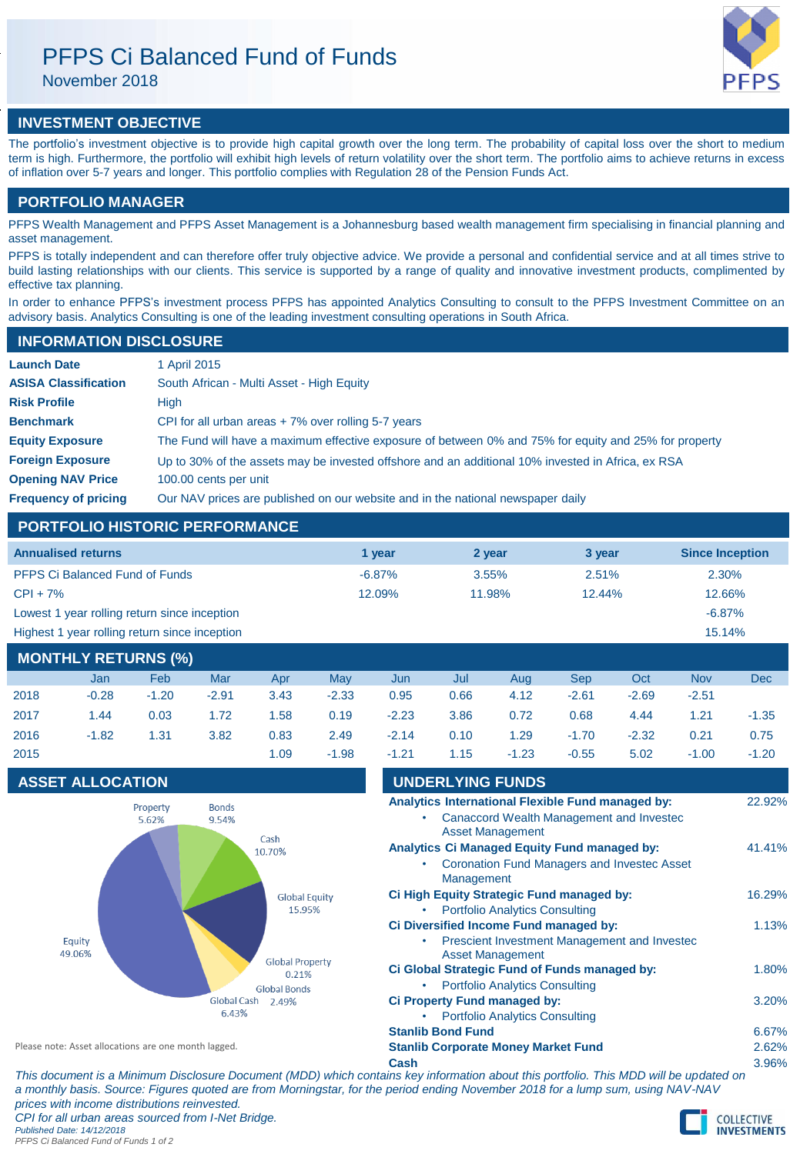# PFPS Ci Balanced Fund of Funds

November 2018

# **INVESTMENT OBJECTIVE**

The portfolio's investment objective is to provide high capital growth over the long term. The probability of capital loss over the short to medium term is high. Furthermore, the portfolio will exhibit high levels of return volatility over the short term. The portfolio aims to achieve returns in excess of inflation over 5-7 years and longer. This portfolio complies with Regulation 28 of the Pension Funds Act.

### **PORTFOLIO MANAGER**

PFPS Wealth Management and PFPS Asset Management is a Johannesburg based wealth management firm specialising in financial planning and asset management.

PFPS is totally independent and can therefore offer truly objective advice. We provide a personal and confidential service and at all times strive to build lasting relationships with our clients. This service is supported by a range of quality and innovative investment products, complimented by effective tax planning.

In order to enhance PFPS's investment process PFPS has appointed Analytics Consulting to consult to the PFPS Investment Committee on an advisory basis. Analytics Consulting is one of the leading investment consulting operations in South Africa.

### **INFORMATION DISCLOSURE**

| <b>Launch Date</b>          | 1 April 2015                                                                                          |
|-----------------------------|-------------------------------------------------------------------------------------------------------|
| <b>ASISA Classification</b> | South African - Multi Asset - High Equity                                                             |
| <b>Risk Profile</b>         | High                                                                                                  |
| <b>Benchmark</b>            | CPI for all urban areas $+7\%$ over rolling 5-7 years                                                 |
| <b>Equity Exposure</b>      | The Fund will have a maximum effective exposure of between 0% and 75% for equity and 25% for property |
| <b>Foreign Exposure</b>     | Up to 30% of the assets may be invested offshore and an additional 10% invested in Africa, ex RSA     |
| <b>Opening NAV Price</b>    | 100.00 cents per unit                                                                                 |
| <b>Frequency of pricing</b> | Our NAV prices are published on our website and in the national newspaper daily                       |

## **PORTFOLIO HISTORIC PERFORMANCE**

| <b>Annualised returns</b>                     | 1 vear    | 2 year   | 3 year | <b>Since Inception</b> |
|-----------------------------------------------|-----------|----------|--------|------------------------|
| <b>PFPS Ci Balanced Fund of Funds</b>         | $-6.87\%$ | $3.55\%$ | 2.51%  | 2.30%                  |
| $CPI + 7%$                                    | 12.09%    | 11.98%   | 12.44% | 12.66%                 |
| Lowest 1 year rolling return since inception  |           |          |        | $-6.87%$               |
| Highest 1 year rolling return since inception |           |          |        | 15.14%                 |
|                                               |           |          |        |                        |

## **MONTHLY RETURNS (%)**

|      | Jan     | Feb     | Mar     | Apr  | May     | Jun     | Jul  | Aug     | <b>Sep</b> | Oct     | <b>Nov</b> | <b>Dec</b> |
|------|---------|---------|---------|------|---------|---------|------|---------|------------|---------|------------|------------|
| 2018 | $-0.28$ | $-1.20$ | $-2.91$ | 3.43 | $-2.33$ | 0.95    | 0.66 | 4.12    | $-2.61$    | $-2.69$ | $-2.51$    |            |
| 2017 | 1.44    | 0.03    | 1.72    | 1.58 | 0.19    | $-2.23$ | 3.86 | 0.72    | 0.68       | 4.44    | 1.21       | $-1.35$    |
| 2016 | $-1.82$ | 1.31    | 3.82    | 0.83 | 2.49    | $-2.14$ | 0.10 | 1.29    | $-1.70$    | $-2.32$ | 0.21       | 0.75       |
| 2015 |         |         |         | 1.09 | $-1.98$ | $-1.21$ | 1.15 | $-1.23$ | $-0.55$    | 5.02    | $-1.00$    | $-1.20$    |

### **ASSET ALLOCATION**



| UNDERLYING FUNDS                                    |        |
|-----------------------------------------------------|--------|
| Analytics International Flexible Fund managed by:   | 22.92% |
| Canaccord Wealth Management and Invested            |        |
| <b>Asset Management</b>                             |        |
| <b>Analytics Ci Managed Equity Fund managed by:</b> | 41.41% |
| <b>Coronation Fund Managers and Investec Asset</b>  |        |
| Management                                          |        |
| Ci High Equity Strategic Fund managed by:           | 16.29% |
| <b>Portfolio Analytics Consulting</b>               |        |
| Ci Diversified Income Fund managed by:              | 1.13%  |
| Prescient Investment Management and Invested        |        |
| <b>Asset Management</b>                             |        |
| Ci Global Strategic Fund of Funds managed by:       | 1.80%  |
| <b>Portfolio Analytics Consulting</b>               |        |
| Ci Property Fund managed by:                        | 3.20%  |
| <b>Portfolio Analytics Consulting</b>               |        |
| <b>Stanlib Bond Fund</b>                            | 6.67%  |
| <b>Stanlib Corporate Money Market Fund</b>          | 2.62%  |
| Cash                                                | 3.96%  |

Please note: Asset allocations are one month lagged.

*This document is a Minimum Disclosure Document (MDD) which contains key information about this portfolio. This MDD will be updated on a monthly basis. Source: Figures quoted are from Morningstar, for the period ending November 2018 for a lump sum, using NAV-NAV prices with income distributions reinvested. CPI for all urban areas sourced from I-Net Bridge. Published Date: 14/12/2018 PFPS Ci Balanced Fund of Funds 1 of 2*